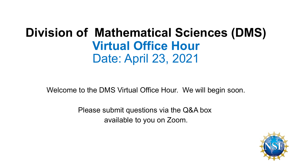# **Division of Mathematical Sciences (DMS) Virtual Office Hour** Date: April 23, 2021

Welcome to the DMS Virtual Office Hour. We will begin soon.

Please submit questions via the Q&A box available to you on Zoom.

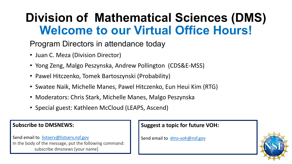# **Division of Mathematical Sciences (DMS) Welcome to our Virtual Office Hours!**

#### Program Directors in attendance today

- Juan C. Meza (Division Director)
- Yong Zeng, Malgo Peszynska, Andrew Pollington (CDS&E-MSS)
- Pawel Hitczenko, Tomek Bartoszynski (Probability)
- Swatee Naik, Michelle Manes, Pawel Hitczenko, Eun Heui Kim (RTG)
- Moderators: Chris Stark, Michelle Manes, Malgo Peszynska
- Special guest: Kathleen McCloud (LEAPS, Ascend)

#### **Subscribe to DMSNEWS:**

Send email to [listserv@listserv.nsf.gov](mailto:listserv@listserv.nsf.gov) In the body of the message, put the following command: subscribe dmsnews [your name]

#### **Suggest a topic for future VOH:**

Send email to [dms-voh@nsf.gov](mailto:dms-voh@nsf.gov)

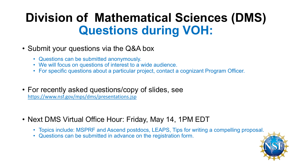# **Division of Mathematical Sciences (DMS) Questions during VOH:**

- Submit your questions via the Q&A box
	- Questions can be submitted anonymously.
	- We will focus on questions of interest to a wide audience.
	- For specific questions about a particular project, contact a cognizant Program Officer.
- For recently asked questions/copy of slides, see <https://www.nsf.gov/mps/dms/presentations.jsp>
- Next DMS Virtual Office Hour: Friday, May 14, 1PM EDT
	- Topics include: MSPRF and Ascend postdocs, LEAPS, Tips for writing a compelling proposal.
	- Questions can be submitted in advance on the registration form.

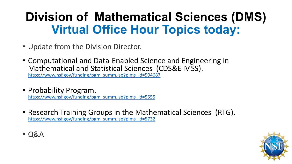# **Division of Mathematical Sciences (DMS) Virtual Office Hour Topics today:**

- Update from the Division Director.
- Computational and Data-Enabled Science and Engineering in [Mathematical and Statistical Sciences \(C](https://www.nsf.gov/funding/pgm_summ.jsp?pims_id=504687)DS&E-MSS).<br>[https://www.nsf.gov/funding/pgm\\_summ.jsp?pims\\_id=504687](https://www.nsf.gov/funding/pgm_summ.jsp?pims_id=504687)
- 

• Probability Program.<br>[https://www.nsf.gov/funding/pgm\\_summ.jsp?pims\\_id=5555](https://www.nsf.gov/funding/pgm_summ.jsp?pims_id=5555)

- Research Training Groups in the Mathematical Sciences (RTG).<br>[https://www.nsf.gov/funding/pgm\\_summ.jsp?pims\\_id=5732](https://www.nsf.gov/funding/pgm_summ.jsp?pims_id=5732)
- Q&A

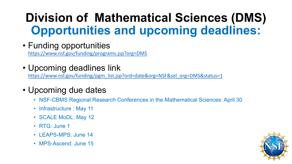# **Division of Mathematical Sciences (DMS) Opportunities and upcoming deadlines:**

- Funding opportunities <https://www.nsf.gov/funding/programs.jsp?org=DMS>
- Upcoming deadlines link

[https://www.nsf.gov/funding/pgm\\_list.jsp?ord=date&org=NSF&sel\\_org=DMS&status=1](https://www.nsf.gov/funding/pgm_list.jsp?ord=date&org=NSF&sel_org=DMS&status=1)

#### • Upcoming due dates

- NSF-CBMS Regional Research Conferences in the Mathematical Sciences: April 30
- Infrastructure : May 11
- SCALE MoDL: May 12
- RTG: June 1
- LEAPS-MPS: June 14
- MPS-Ascend: June 15

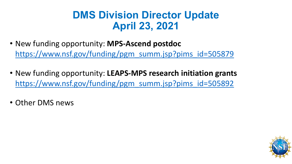### **DMS Division Director Update April 23, 2021**

- New funding opportunity: **MPS-Ascend postdoc** [https://www.nsf.gov/funding/pgm\\_summ.jsp?pims\\_id=505879](https://www.nsf.gov/funding/pgm_summ.jsp?pims_id=505879)
- New funding opportunity: **LEAPS-MPS research initiation grants** [https://www.nsf.gov/funding/pgm\\_summ.jsp?pims\\_id=505892](https://www.nsf.gov/funding/pgm_summ.jsp?pims_id=505892)
- Other DMS news

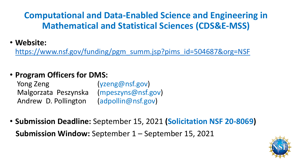#### **Computational and Data-Enabled Science and Engineering in Mathematical and Statistical Sciences (CDS&E-MSS)**

• **Website:** 

[https://www.nsf.gov/funding/pgm\\_summ.jsp?pims\\_id=504687&org=NSF](https://www.nsf.gov/funding/pgm_summ.jsp?pims_id=504687&org=NSF)

#### • **Program Officers for DMS:**

Yong Zeng (yzeng@nsf.gov) Malgorzata Peszynska (mpeszyns@nsf.gov) Andrew D. Pollington (adpollin@nsf.gov)

• **Submission Deadline:** September 15, 2021 **(Solicitation NSF 20-8069) Submission Window:** September 1 – September 15, 2021

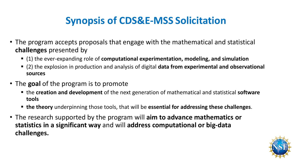## **Synopsis of CDS&E-MSS Solicitation**

- The program accepts proposals that engage with the mathematical and statistical **challenges** presented by
	- (1) the ever-expanding role of **computational experimentation, modeling, and simulation**
	- (2) the explosion in production and analysis of digital **data from experimental and observational sources**
- The **goal** of the program is to promote
	- the **creation and development** of the next generation of mathematical and statistical **software tools**
	- **the theory** underpinning those tools, that will be **essential for addressing these challenges**.
- The research supported by the program will **aim to advance mathematics or statistics in a significant way** and will **address computational or big-data challenges.**

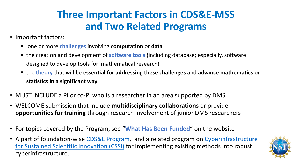## **Three Important Factors in CDS&E-MSS and Two Related Programs**

- Important factors:
	- one or more **challenges** involving **computation** or **data**
	- the creation and development of **software tools** (including database; especially, software designed to develop tools for mathematical research)
	- the **theory** that will be **essential for addressing these challenges** and **advance mathematics or statistics in a significant way**
- MUST INCLUDE a PI or co-PI who is a researcher in an area supported by DMS
- WELCOME submission that include **multidisciplinary collaborations** or provide **opportunities for training** through research involvement of junior DMS researchers
- For topics covered by the Program, see "**What Has Been Funded**" on the website
- [A part of foundation-wise CDS&E Program, and a related program on Cyberinfrastructure](https://www.nsf.gov/funding/pgm_summ.jsp?pims_id=505505) for Sustained Scientific Innovation (CSSI) for implementing existing methods into robust cyberinfrastructure.

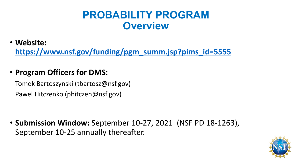### **PROBABILITY PROGRAM Overview**

• **Website:** 

**[https://www.nsf.gov/funding/pgm\\_summ.jsp?pims\\_id=5555](https://www.nsf.gov/funding/pgm_summ.jsp?pims_id=5555)**

• **Program Officers for DMS:** 

Tomek Bartoszynski (tbartosz@nsf.gov) Pawel Hitczenko (phitczen@nsf.gov)

• **Submission Window:** September 10-27, 2021 (NSF PD 18-1263), September 10-25 annually thereafter.

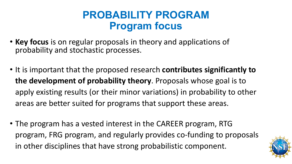### **PROBABILITY PROGRAM Program focus**

- **Key focus** is on regular proposals in theory and applications of probability and stochastic processes.
- It is important that the proposed research **contributes significantly to the development of probability theory**. Proposals whose goal is to apply existing results (or their minor variations) in probability to other areas are better suited for programs that support these areas.
- The program has a vested interest in the CAREER program, RTG program, FRG program, and regularly provides co-funding to proposals in other disciplines that have strong probabilistic component.

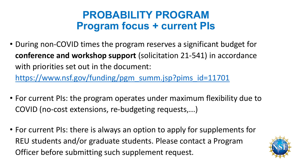### **PROBABILITY PROGRAM Program focus + current PIs**

• During non-COVID times the program reserves a significant budget for **conference and workshop support** (solicitation 21-541) in accordance with priorities set out in the document:

[https://www.nsf.gov/funding/pgm\\_summ.jsp?pims\\_id=11701](https://www.nsf.gov/funding/pgm_summ.jsp?pims_id=11701)

- For current PIs: the program operates under maximum flexibility due to COVID (no-cost extensions, re-budgeting requests,...)
- For current PIs: there is always an option to apply for supplements for REU students and/or graduate students. Please contact a Program Officer before submitting such supplement request.

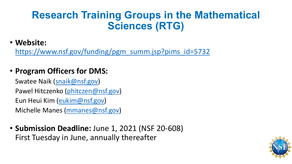### **Research Training Groups in the Mathematical Sciences (RTG)**

#### • **Website:**

[https://www.nsf.gov/funding/pgm\\_summ.jsp?pims\\_id=5732](https://www.nsf.gov/funding/pgm_summ.jsp?pims_id=5732)

#### • **Program Officers for DMS:**

Swatee Naik [\(snaik@nsf.gov](mailto:snaik@nsf.gov)) Pawel Hitczenko ([phitczen@nsf.gov](mailto:phitczen@nsf.gov)) Eun Heui Kim [\(eukim@nsf.gov\)](mailto:eukim@nsf.gov) Michelle Manes [\(mmanes@nsf.gov\)](mailto:mmanes@nsf.gov)

• **Submission Deadline:** June 1, 2021 (NSF 20-608) First Tuesday in June, annually thereafter

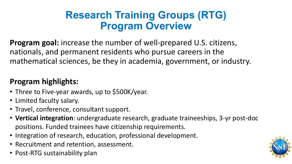### **Research Training Groups (RTG) Program Overview**

**Program goal:** increase the number of well-prepared U.S. citizens, nationals, and permanent residents who pursue careers in the mathematical sciences, be they in academia, government, or industry.

#### **Program highlights:**

- Three to Five-year awards, up to \$500K/year.
- Limited faculty salary.
- Travel, conference, consultant support.
- **Vertical integration**: undergraduate research, graduate traineeships, 3-yr post-doc positions. Funded trainees have citizenship requirements.
- Integration of research, education, professional development.
- Recruitment and retention, assessment.
- Post-RTG sustainability plan

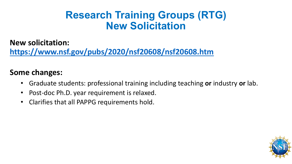### **Research Training Groups (RTG) New Solicitation**

**New solicitation:** 

**<https://www.nsf.gov/pubs/2020/nsf20608/nsf20608.htm>**

#### **Some changes:**

- Graduate students: professional training including teaching **or** industry **or** lab.
- Post-doc Ph.D. year requirement is relaxed.
- Clarifies that all PAPPG requirements hold.

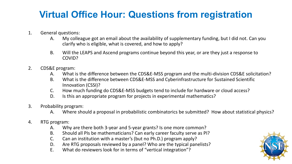### **Virtual Office Hour: Questions from registration**

- 1. General questions:
	- A. My colleague got an email about the availability of supplementary funding, but I did not. Can you clarify who is eligible, what is covered, and how to apply?
	- B. Will the LEAPS and Ascend programs continue beyond this year, or are they just a response to COVID?
- 2. CDS&E program:
	- A. What is the difference between the CDS&E-MSS program and the multi-division CDS&E solicitation?
	- B. What is the difference between CDS&E-MSS and Cyberinfrastructure for Sustained Scientific Innovation (CSSI)?
	- C. How much funding do CDS&E-MSS budgets tend to include for hardware or cloud access?
	- D. Is this an appropriate program for projects in experimental mathematics?
- 3. Probability program:
	- A. Where should a proposal in probabilistic combinatorics be submitted? How about statistical physics?
- 4. RTG program:
	- A. Why are there both 3-year and 5-year grants? Is one more common?
	- B. Should all PIs be mathematicians? Can early career faculty serve as PI?
	- C. Can an institution with a master's (but no Ph.D.) program apply?
	- D. Are RTG proposals reviewed by a panel? Who are the typical panelists?
	- E. What do reviewers look for in terms of "vertical integration"?